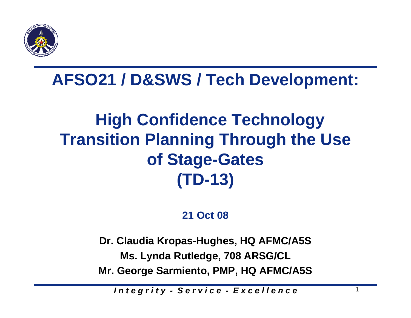

## **AFSO21 / D&SWS / Tech Development:**

# **High Confidence Technology Transition Planning Through the Use of Stage-Gates (TD-13)**

### **21 Oct 08**

**Dr. Claudia Kropas-Hughes, HQ AFMC/A5S Ms. Lynda Rutledge, 708 ARSG/CL Mr. George Sarmiento, PMP, HQ AFMC/A5S**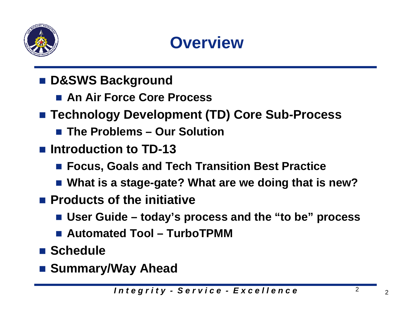

# **Overview**

- D&SWS Background
	- An Air Force Core Process
- **Technology Development (TD) Core Sub-Process**
	- The Problems Our Solution
- Introduction to **TD-13** 
	- Focus, Goals and Tech Transition Best Practice
	- **What is a stage-gate? What are we doing that is new?**
- Products of the initiative
	- **User Guide – today's process and the "to be" process**
	- Automated Tool TurboTPMM
- Schedule
- Summary/Way Ahead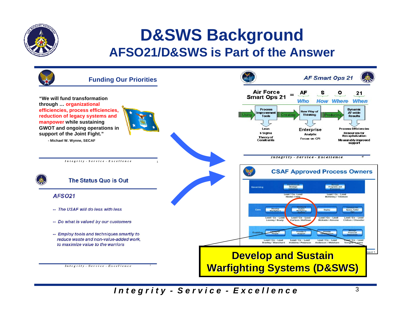

### **D&SWS Background AFSO21/D&SWS is Part of the Answer**

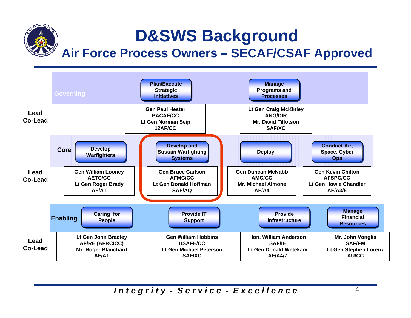# **D&SWS Background Air Force Process Owners – SECAF/CSAF Approved**

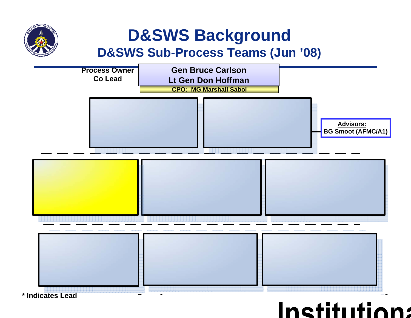

### **D&SWS Background D&SWS Sub-Process Teams (Jun '08)**



### Institution: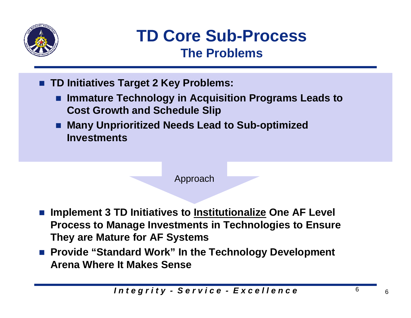

## **TD Core Sub-Process The Problems**

- TD Initiatives Target 2 Key Problems:
	- Immature Technology in Acquisition Programs Leads to **Cost Growth and Schedule Slip**
	- **Many Unprioritized Needs Lead to Sub-optimized Investments**

#### Approach

- Implement 3 TD Initiatives to **Institutionalize** One AF Level **Process to Manage Investments in Technologies to Ensure They are Mature for AF Systems**
- **Provide "Standard Work" In the Technology Development Arena Where It Makes Sense**

6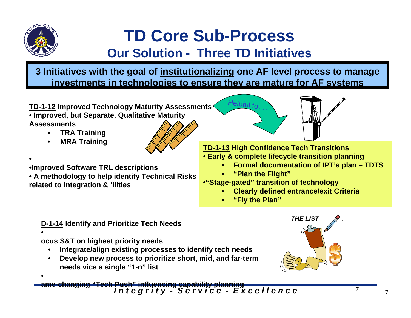

•

•

•

# **TD Core Sub-Process**

### **Our Solution - Three TD Initiatives**

**3 Initiatives with the goal of institutionalizing one AF level process to manage investments in technologies to ensure they are mature for AF systems**

**TD-1-12 Improved Technology Maturity Assessments** • **Improved, but Separate, Qualitative Maturity Assessments**

- •**TRA Training**
- •**MRA Training**

•**Improved Software TRL descriptions**

• **A methodology to help identify Technical Risks related to Integration & 'ilities**

**TD-1-13 High Confidence Tech Transitions** • **Early & complete lifecycle transition planning**

- •**Formal documentation of IPT's plan – TDTS**
- •**"Plan the Flight"**

Helpful to….

- •**"Stage-gated" transition of technology**
	- •**Clearly defined entrance/exit Criteria**
	- •**"Fly the Plan"**

**D-1-14 Identify and Prioritize Tech Needs**

**ocus S&T on highest priority needs**

- •**Integrate/align existing processes to identify tech needs**
- • **Develop new process to prioritize short, mid, and far-term needs vice a single "1-n" list**



*I n t e g r i t y - S e r v i c e - E x c e l l e n c e* <sup>7</sup> <sup>7</sup> **ame-changing "Tech Push" influencing capability planning**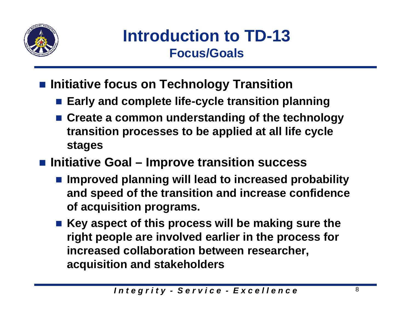

**Introduction to TD-13 Focus/Goals**

- **Initiative focus on Technology Transition** 
	- **Early and complete life-cycle transition planning**
	- **Create a common understanding of the technology transition processes to be applied at all life cycle stages**
- Initiative Goal Improve transition success
	- Improved planning will lead to increased probability **and speed of the transition and increase confidence of acquisition programs.**
	- Key aspect of this process will be making sure the **right people are involved earlier in the process for increased collaboration between researcher, acquisition and stakeholders**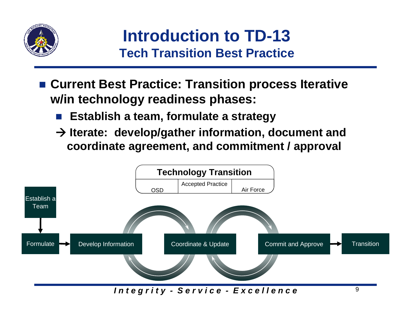

**Introduction to TD-13 Tech Transition Best Practice**

- Current Best Practice: Transition process Iterative **w/in technology readiness phases:**
	- $\mathcal{L}^{\text{max}}_{\text{max}}$ **Establish a team, formulate a strategy**
	- **→ Iterate: develop/gather information, document and coordinate agreement, and commitment / approval**

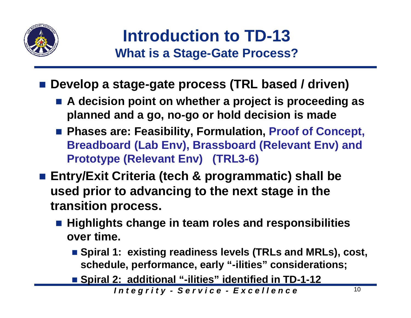

**Introduction to TD-13 What is a Stage-Gate Process?**

**Develop a stage-gate process (TRL based / driven)** 

- **A decision point on whether a project is proceeding as planned and a go, no-go or hold decision is made**
- **Phases are: Feasibility, Formulation, Proof of Concept, Breadboard (Lab Env), Brassboard (Relevant Env) and Prototype (Relevant Env) (TRL3-6)**
- **Entry/Exit Criteria (tech & programmatic) shall be used prior to advancing to the next stage in the transition process.** 
	- Highlights change in team roles and responsibilities **over time.**
		- Spiral 1: existing readiness levels (TRLs and MRLs), cost, **schedule, performance, early "-ilities" considerations;**
		- **Spiral 2: additional "-ilities" identified in TD-1-12**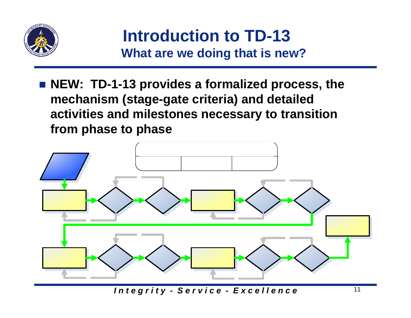

**Introduction to TD-13 What are we doing that is new?**

■ NEW: TD-1-13 provides a formalized process, the **mechanism (stage-gate criteria) and detailed activities and milestones necessary to transition from phase to phase**

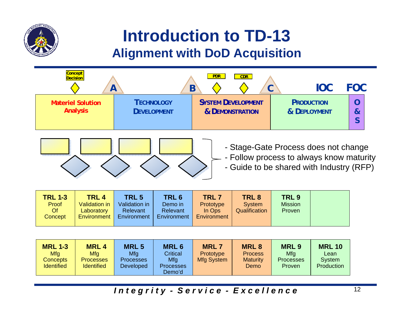

### **Introduction to TD-13 Alignment with DoD Acquisition**



| <b>MRL 1-3</b><br><b>Mfg</b><br><b>Concepts</b><br><b>Identified</b> | <b>MRL4</b><br>Mfg<br><b>Processes</b><br><b>Identified</b> | <b>MRL5</b><br>Mfg<br><b>Processes</b><br><b>Developed</b> | <b>MRL 6</b><br><b>Critical</b><br>Mfg<br><b>Processes</b><br>Demo'd | <b>MRL7</b><br><b>Prototype</b><br>Mfg System | <b>MRL8</b><br><b>Process</b><br><b>Maturity</b><br><b>Demo</b> | <b>MRL9</b><br>Mfg<br><b>Processes</b><br>Proven | <b>MRL 10</b><br>Lean<br>System<br>Production |
|----------------------------------------------------------------------|-------------------------------------------------------------|------------------------------------------------------------|----------------------------------------------------------------------|-----------------------------------------------|-----------------------------------------------------------------|--------------------------------------------------|-----------------------------------------------|
|----------------------------------------------------------------------|-------------------------------------------------------------|------------------------------------------------------------|----------------------------------------------------------------------|-----------------------------------------------|-----------------------------------------------------------------|--------------------------------------------------|-----------------------------------------------|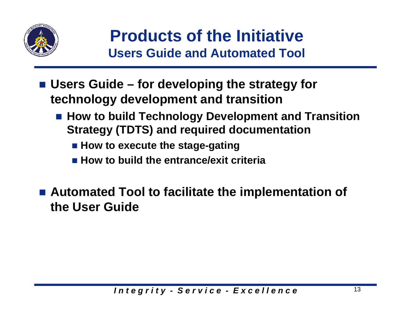

**Products of the InitiativeUsers Guide and Automated Tool**

- Users Guide for developing the strategy for **technology development and transition**
	- How to build Technology Development and Transition **Strategy (TDTS) and required documentation** 
		- **How to execute the stage-gating**
		- **How to build the entrance/exit criteria**
- Automated Tool to facilitate the implementation of **the User Guide**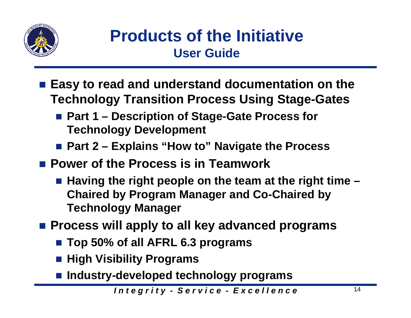

## **Products of the Initiative User Guide**

- Easy to read and understand documentation on the **Technology Transition Process Using Stage-Gates**
	- Part 1 Description of Stage-Gate Process for **Technology Development**
	- Part 2 Explains "How to" Navigate the Process
- **Power of the Process is in Teamwork**
	- Having the right people on the team at the right time  **Chaired by Program Manager and Co-Chaired by Technology Manager**
- Process will apply to all key advanced programs
	- **Top 50% of all AFRL 6.3 programs**
	- **High Visibility Programs**
	- **Industry-developed technology programs**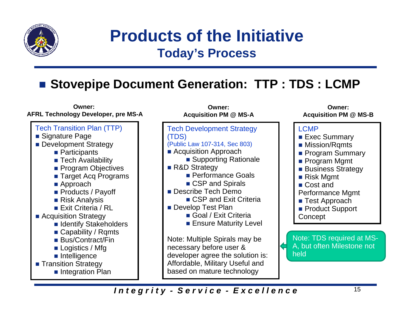

**Products of the Initiative Today's Process**

### ■ Stovepipe Document Generation: TTP : TDS : LCMP

#### **Owner: AFRL Technology Developer, pre MS-A**



- Target Acq Programs
- Approach
- Products / Payoff
- Risk Analysis
- Exit Criteria / RL
- Acquisition Strategy
	- **I** Identify Stakeholders
	- Capability / Rqmts
	- Bus/Contract/Fin
	- Logistics / Mfg
	- **n** Intelligence
- **Transition Strategy** 
	- **Integration Plan**

Tech Development Strategy (TDS) (Public Law 107-314, Sec 803) **Acquisition Approach** ■ Supporting Rationale ■ R&D Strategy **Performance Goals** ■ CSP and Spirals ■ Describe Tech Demo ■ CSP and Exit Criteria **Develop Test Plan** ■ Goal / Exit Criteria **Ensure Maturity Level** Note: Multiple Spirals may be necessary before user & developer agree the solution is: Affordable, Military Useful and based on mature technology **Owner:Acquisition PM @ MS-A**

#### **Owner:Acquisition PM @ MS-B**



held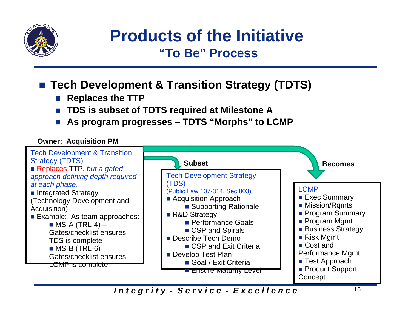

### **Products of the Initiative"To Be" Process**

### **Tech Development & Transition Strategy (TDTS)**

- $\mathcal{O}(\mathcal{A})$ **Replaces the TTP**
- P. **TDS is subset of TDTS required at Milestone A**
- $\mathcal{L}(\mathcal{A})$ **As program progresses – TDTS "Morphs" to LCMP**

#### **Owner: Acquisition PM**

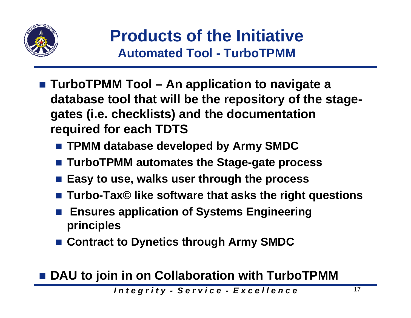

## **Products of the Initiative Automated Tool - TurboTPMM**

- TurboTPMM Tool An application to navigate a **database tool that will be the repository of the stagegates (i.e. checklists) and the documentation required for each TDTS**
	- **TPMM database developed by Army SMDC**
	- **TurboTPMM automates the Stage-gate process**
	- Easy to use, walks user through the process
	- **Turbo-Tax© like software that asks the right questions**
	- F. **Ensures application of Systems Engineering principles**
	- **Contract to Dynetics through Army SMDC**

■ DAU to join in on Collaboration with TurboTPMM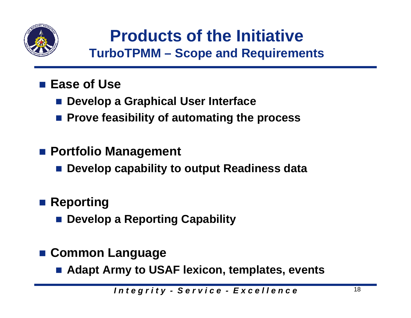

## **Products of the Initiative TurboTPMM – Scope and Requirements**

- Ease of Use
	- Develop a Graphical User Interface
	- **Prove feasibility of automating the process**
- **Portfolio Management**
	- **Develop capability to output Readiness data**
- **Reporting** 
	- **<u>■ Develop a Reporting Capability</u>**
- **Common Language**
	- Adapt Army to USAF lexicon, templates, events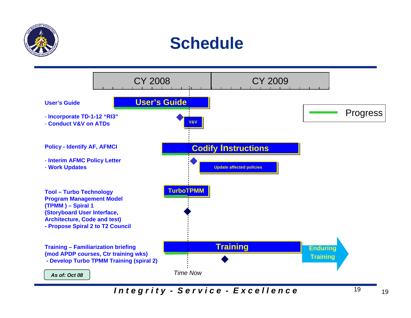

## **Schedule**

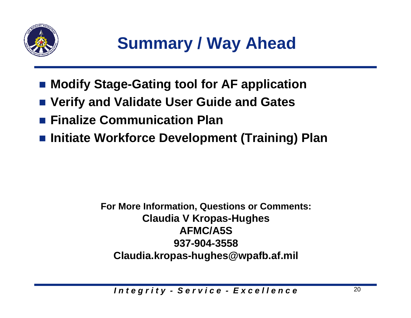

- Modify Stage-Gating tool for AF application
- **Verify and Validate User Guide and Gates**
- **Finalize Communication Plan**
- **Initiate Workforce Development (Training) Plan**

**For More Information, Questions or Comments: Claudia V Kropas-Hughes AFMC/A5S937-904-3558Claudia.kropas-hughes@wpafb.af.mil**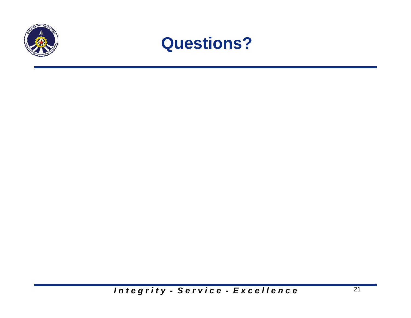

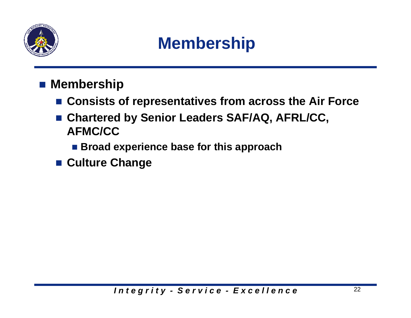

# **Membership**

- Membership
	- **Consists of representatives from across the Air Force**
	- **Chartered by Senior Leaders SAF/AQ, AFRL/CC, AFMC/CC**
		- **Broad experience base for this approach**
	- **Culture Change**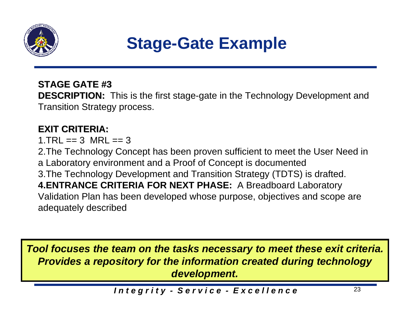

# **Stage-Gate Example**

### **STAGE GATE #3 STAGE GATE #3**

**DESCRIPTION:** This is the first stage-gate in the Technology Development and Transition Strategy process.

### **EXIT CRITERIA: EXIT CRITERIA:**

 $1.TRL == 3$  MRL  $== 3$ 

2.The Technology Concept has been proven sufficient to meet the User Need in a Laboratory environment and a Proof of Concept is documented 3.The Technology Development and Transition Strategy (TDTS) is drafted. **4.ENTRANCE CRITERIA FOR NEXT PHASE:** A Breadboard Laboratory Validation Plan has been developed whose purpose, objectives and scope are adequately described

*Tool focuses the team on the tasks necessary to meet these exit criteria. Provides a repository for the information created during technology development.*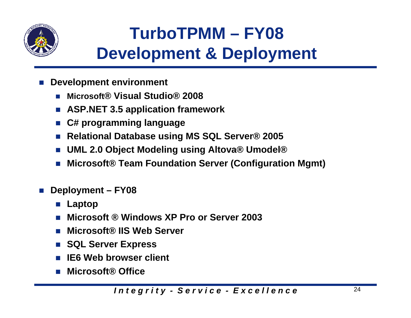

# **TurboTPMM – FY08 Development & Deployment**

- **Development environment**
	- × **Microsoft® Visual Studio® 2008**
	- $\sim 10$ **ASP.NET 3.5 application framework**
	- П **C# programming language**
	- П **Relational Database using MS SQL Server® 2005**
	- P. **UML 2.0 Object Modeling using Altova® Umodel®**
	- П **Microsoft® Team Foundation Server (Configuration Mgmt)**
- $\mathcal{O}(\mathbb{R})$  **Deployment – FY08**
	- П **Laptop**
	- П **Microsoft ® Windows XP Pro or Server 2003**
	- P. **Microsoft® IIS Web Server**
	- П **SQL Server Express**
	- П **IE6 Web browser client**
	- **Microsoft® Office**